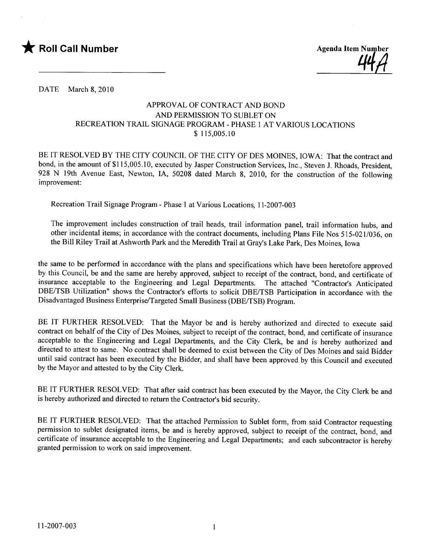



DATE March 8, 2010

## APPROVAL OF CONTRACT AND BOND AND PERMISSION TO SUBLET ON RECREATION TRAIL SIGNAGE PROGRAM - PHASE 1 AT VARIOUS LOCATIONS \$ 115,005.10

BE IT RESOLVED BY THE CITY COUNCIL OF THE CITY OF DES MOINES, IOWA: That the contract and bond, in the amount of \$115,005.10, executed by Jasper Construction Services, Inc., Steven J. Rhoads, President, 928 N 19th Avenue East, Newton, lA, 50208 dated March 8, 2010, for the construction of the following improvement:

Recreation Trail Signage Program - Phase 1 at Various Locations, 11-2007-003

The improvement includes construction of trail heads, trail information panel, trail information hubs, and other incidental items; in accordance with the contract documents, including Plans File Nos 515-021/036, on the Bill Riley Trail at Ashworth Park and the Meredith Trail at Gray's Lake Park, Des Moines, Iowa

the same to be performed in accordance with the plans and specifications which have been heretofore approved by this Council, be and the same are hereby approved, subject to receipt of the contract, bond, and certificate of insurance acceptable to the Engineering and Legal Departments. The attached "Contractor's Anticipated DBE/TSB Utilization" shows the Contractor's efforts to solicit DBE/TSB Participation in accordance with the Disadvantaged Business Enterprise/Targeted Small Business (DBE/TSB) Program.

BE IT FURTHER RESOLVED: That the Mayor be and is hereby authorized and directed to execute said contract on behalf of the City of Des Moines, subject to receipt of the contract, bond, and certificate of insurance acceptable to the Engineering and Legal Departments, and the City Clerk, be and is hereby authorized and directed to attest to same. No contract shall be deemed to exist between the City of Des Moines and said Bidder until said contract has been executed by the Bidder, and shall have been approved by this Council and executed by the Mayor and attested to by the City Clerk.

BE IT FURTHER RESOLVED: That after said contract has been executed by the Mayor, the City Clerk be and is hereby authorized and directed to return the Contractor's bid security.

BE IT FURTHER RESOLVED: That the attached Permission to Sublet form, from said Contractor requesting permission to sublet designated items, be and is hereby approved, subject to receipt of the contract, bond, and certificate of insurance acceptable to the Engineering and Legal Departments; and each subcontractor is hereby granted permission to work on said improvement.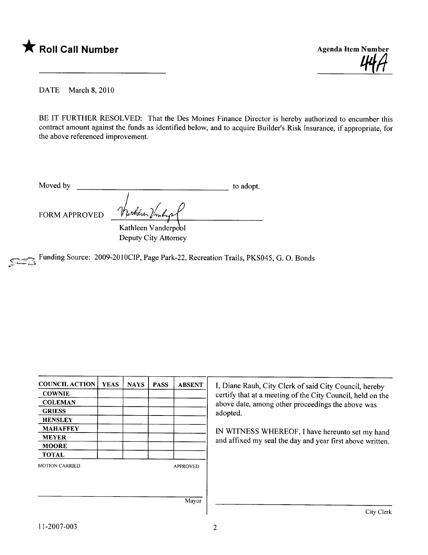



DATE March 8, 2010

BE IT FURTHER RESOLVED: That the Des Moines Finance Director is hereby authorized to encumber this contract amount against the funds as identified below, and to acquire Builder's Risk Insurance, if appropriate, for the above referenced improvement.

Moved by to adopt.

FORM APPROVED  $\frac{1}{\sqrt{2}}$ 

Kathleen Vanderpool Deputy City Attorney

Funding Source: 2009-2010CIP, Page Park-22, Recreation Trails, PKS045, G. O. Bonds

| <b>COUNCIL ACTION</b> | <b>YEAS</b> | <b>NAYS</b> | <b>PASS</b> | <b>ABSENT</b>   | I, Diane   |
|-----------------------|-------------|-------------|-------------|-----------------|------------|
| <b>COWNIE</b>         |             |             |             |                 | certify tl |
| <b>COLEMAN</b>        |             |             |             |                 | above da   |
| <b>GRIESS</b>         |             |             |             |                 | adopted.   |
| <b>HENSLEY</b>        |             |             |             |                 |            |
| <b>MAHAFFEY</b>       |             |             |             |                 | IN WIT     |
| <b>MEYER</b>          |             |             |             |                 | and affix  |
| <b>MOORE</b>          |             |             |             |                 |            |
| <b>TOTAL</b>          |             |             |             |                 |            |
| <b>MOTION CARRIED</b> |             |             |             | <b>APPROVED</b> |            |
|                       |             |             |             |                 |            |
|                       |             |             |             |                 |            |
|                       |             |             |             |                 |            |
|                       |             |             |             | Mayor           |            |
|                       |             |             |             |                 |            |

iane Rauh, City Clerk of said City Council, hereby fy that at a meeting of the City Council, held on the e date, among other proceedings the above was

WITNESS WHEREOF, I have hereunto set my hand affixed my seal the day and year first above written.